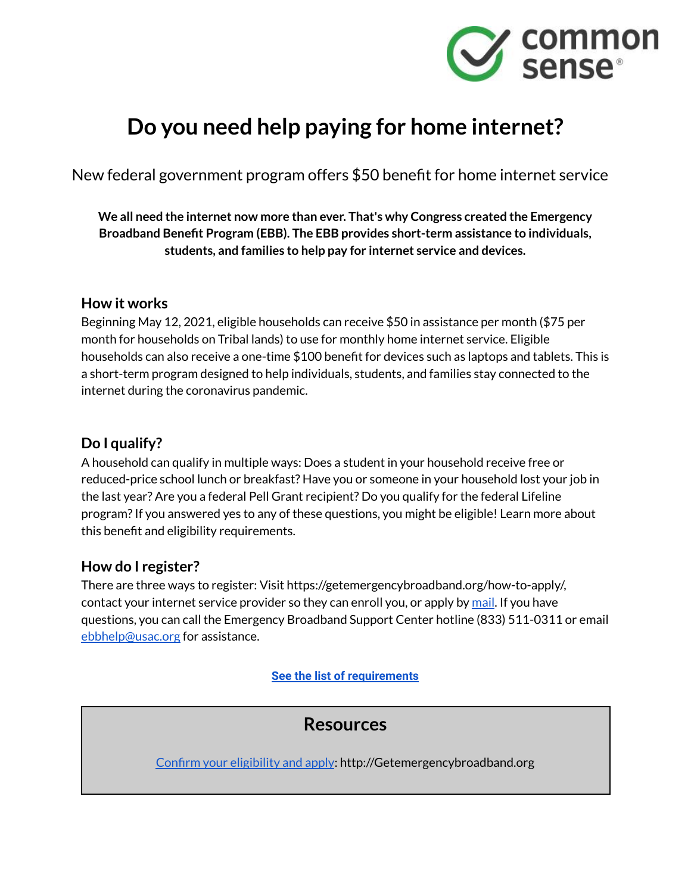

# **Do you need help paying for home internet?**

New federal government program offers \$50 benefit for home internet service

**We all need the internet now more than ever. That's why Congress created the Emergency Broadband Benefit Program (EBB). The EBB provides short-term assistance to individuals, students, and families to help pay for internet service and devices.**

## **How it works**

Beginning May 12, 2021, eligible households can receive \$50 in assistance per month (\$75 per month for households on Tribal lands) to use for monthly home internet service. Eligible households can also receive a one-time \$100 benefit for devices such as laptops and tablets. This is a short-term program designed to help individuals, students, and families stay connected to the internet during the coronavirus pandemic.

## **Do I qualify?**

A household can qualify in multiple ways: Does a student in your household receive free or reduced-price school lunch or breakfast? Have you or someone in your household lost your job in the last year? Are you a federal Pell Grant recipient? Do you qualify for the federal Lifeline program?If you answered yes to any of these questions, you might be eligible! Learn more about this benefit and eligibility requirements.

## **How do I register?**

There are three ways to register: Visit https://getemergencybroadband.org/how-to-apply/, contact your internet service provider so they can enroll you, or apply by [mail](https://getemergencybroadband.org/how-to-apply/). If you have questions, you can call the Emergency Broadband Support Center hotline (833) 511-0311 or email [ebbhelp@usac.org](mailto:EBBHelp@USAC.org) for assistance.

**[See the list of requirements](http://d2e111jq13me73.cloudfront.net/sites/default/files/uploads/eligibility_pdf_.pdf)**

# **Resources**

Confirm your [eligibility](http://getemergencybroadband.org) and apply: http://Getemergencybroadband.org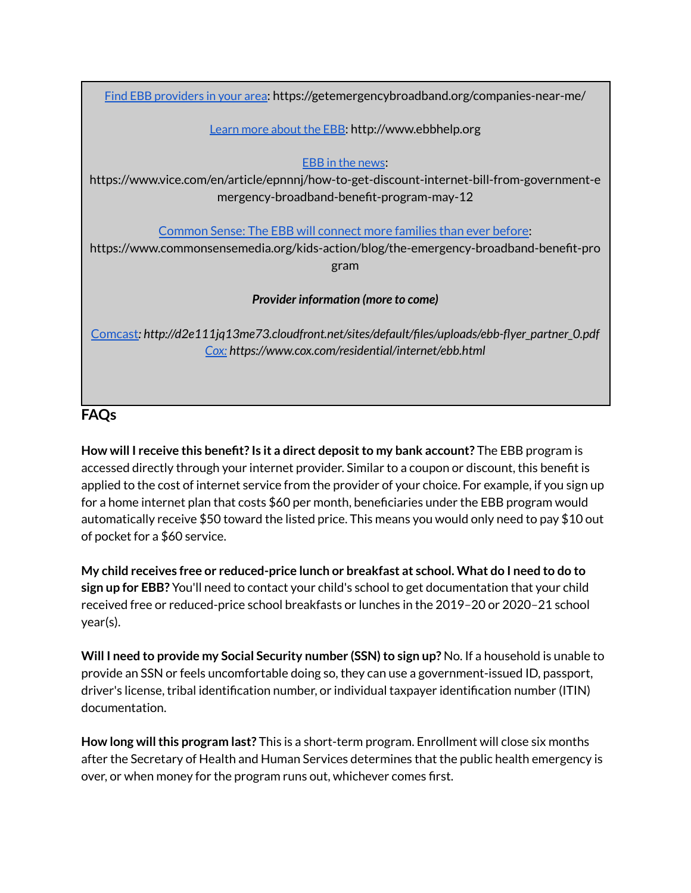Find EBB [providers](https://getemergencybroadband.org/companies-near-me/) in your area: https://getemergencybroadband.org/companies-near-me/

#### Learn more [about](http://www.ebbhelp.org) the EBB: http://www.ebbhelp.org

EBB in the [news](https://www.vice.com/en/article/epnnnj/how-to-get-discount-internet-bill-from-government-emergency-broadband-benefit-program-may-12):

https://www.vice.com/en/article/epnnnj/how-to-get-discount-internet-bill-from-government-e mergency-broadband-benefit-program-may-12

[Common](https://www.commonsensemedia.org/kids-action/blog/the-emergency-broadband-benefit-program) Sense: The EBB will connect more families than ever before:

https://www.commonsensemedia.org/kids-action/blog/the-emergency-broadband-benefit-pro gram

### *Provider information (more to come)*

[Comcast](http://d2e111jq13me73.cloudfront.net/sites/default/files/uploads/ebb-flyer_partner_0.pdf)*: http://d2e111jq13me73.cloudfront.net/sites/default/files/uploads/ebb-flyer\_partner\_0.pdf [Cox:](https://www.cox.com/residential/internet/ebb.html) https://www.cox.com/residential/internet/ebb.html*

# **FAQs**

**How will I receive this benefit? Is it a direct depositto my bank account?** The EBB program is accessed directly through your internet provider. Similar to a coupon or discount, this benefit is applied to the cost of internet service from the provider of your choice. For example, if you sign up for a home internet plan that costs \$60 per month, beneficiaries under the EBB program would automatically receive \$50 toward the listed price. This means you would only need to pay \$10 out of pocket for a \$60 service.

**My child receives free or reduced-price lunch or breakfast at school. What do I need to do to sign up for EBB?** You'll need to contact your child's school to get documentation that your child received free or reduced-price school breakfasts or lunches in the 2019–20 or 2020–21 school year(s).

**Will I need to provide my Social Security number (SSN) to sign up? No. If a household is unable to** provide an SSN or feels uncomfortable doing so, they can use a government-issued ID, passport, driver's license, tribal identification number, or individual taxpayer identification number (ITIN) documentation.

**How long willthis program last?** This is a short-term program. Enrollment will close six months after the Secretary of Health and Human Services determines that the public health emergency is over, or when money for the program runs out, whichever comes first.